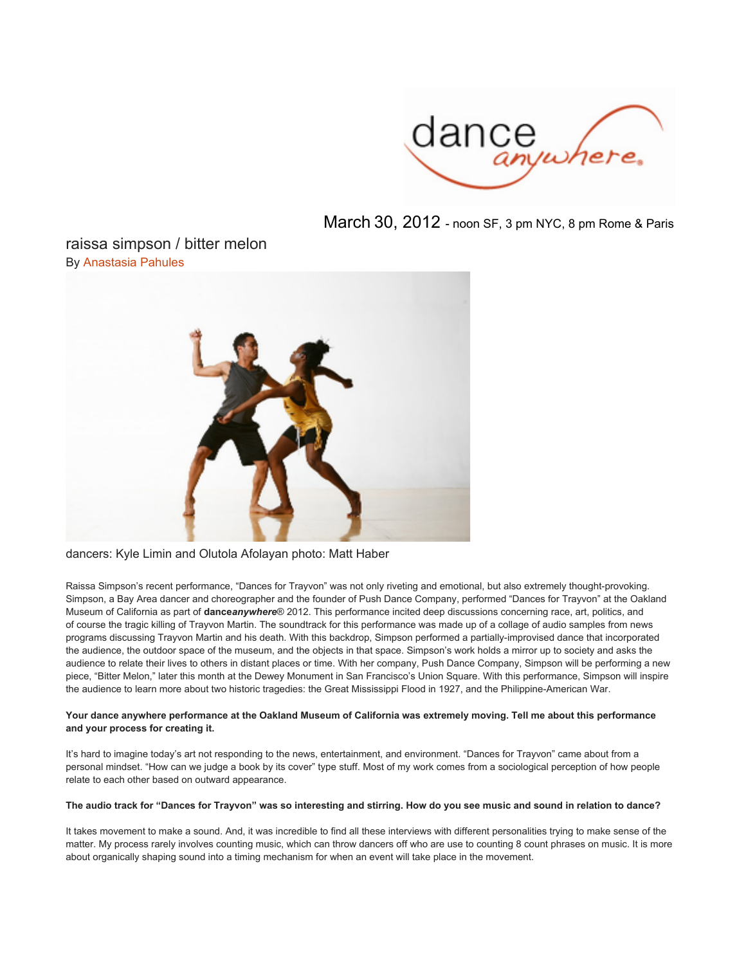

March 30, 2012 - noon SF, 3 pm NYC, 8 pm Rome & Paris

# raissa simpson / bitter melon By [Anastasia](http://www.danceanywhere.org/news/2012/raissa-simpson-bitter-melon/?author=41) [Pahules](http://www.danceanywhere.org/news/2012/raissa-simpson-bitter-melon/?author=41)



# dancers: Kyle Limin and Olutola Afolayan photo: Matt Haber

Raissa Simpson's recent performance, "Dances for Trayvon" was not only riveting and emotional, but also extremely thought-provoking. Simpson, a Bay Area dancer and choreographer and the founder of Push Dance Company, performed "Dances for Trayvon" at the Oakland Museum of California as part of **dance***anywhere*® 2012. This performance incited deep discussions concerning race, art, politics, and of course the tragic killing of Trayvon Martin. The soundtrack for this performance was made up of a collage of audio samples from news programs discussing Trayvon Martin and his death. With this backdrop, Simpson performed a partially-improvised dance that incorporated the audience, the outdoor space of the museum, and the objects in that space. Simpson's work holds a mirror up to society and asks the audience to relate their lives to others in distant places or time. With her company, Push Dance Company, Simpson will be performing a new piece, "Bitter Melon," later this month at the Dewey Monument in San Francisco's Union Square. With this performance, Simpson will inspire the audience to learn more about two historic tragedies: the Great Mississippi Flood in 1927, and the Philippine-American War.

# **Your dance anywhere performance at the Oakland Museum of California was extremely moving. Tell me about this performance and your process for creating it.**

It's hard to imagine today's art not responding to the news, entertainment, and environment. "Dances for Trayvon" came about from a personal mindset. "How can we judge a book by its cover" type stuff. Most of my work comes from a sociological perception of how people relate to each other based on outward appearance.

# **The audio track for "Dances for Trayvon" was so interesting and stirring. How do you see music and sound in relation to dance?**

It takes movement to make a sound. And, it was incredible to find all these interviews with different personalities trying to make sense of the matter. My process rarely involves counting music, which can throw dancers off who are use to counting 8 count phrases on music. It is more about organically shaping sound into a timing mechanism for when an event will take place in the movement.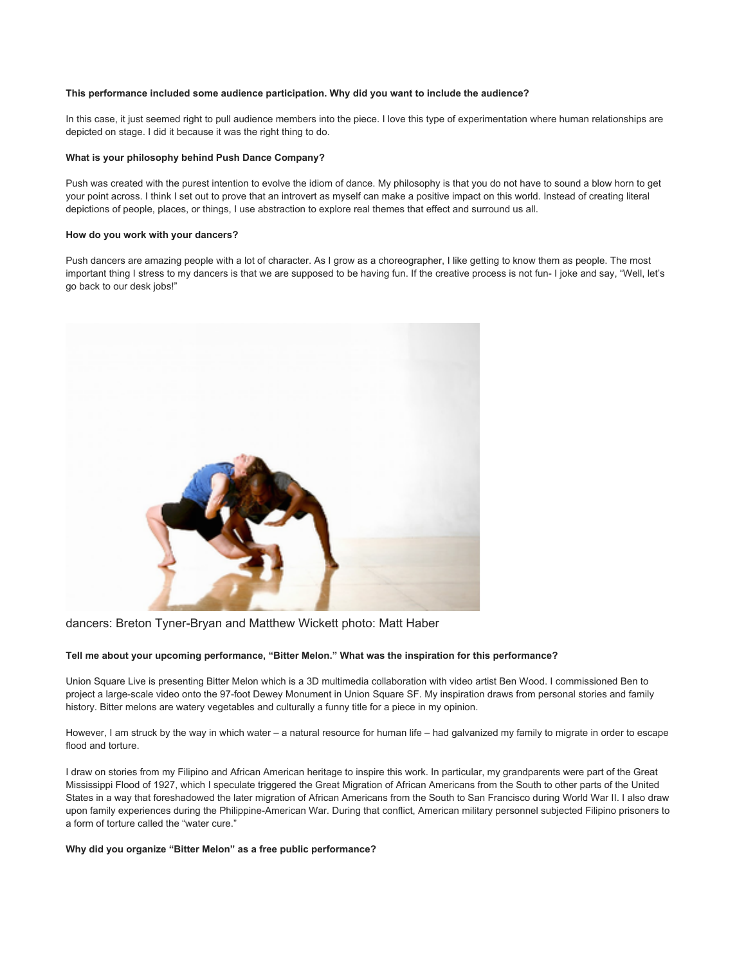# **This performance included some audience participation. Why did you want to include the audience?**

In this case, it just seemed right to pull audience members into the piece. I love this type of experimentation where human relationships are depicted on stage. I did it because it was the right thing to do.

#### **What is your philosophy behind Push Dance Company?**

Push was created with the purest intention to evolve the idiom of dance. My philosophy is that you do not have to sound a blow horn to get your point across. I think I set out to prove that an introvert as myself can make a positive impact on this world. Instead of creating literal depictions of people, places, or things, I use abstraction to explore real themes that effect and surround us all.

#### **How do you work with your dancers?**

Push dancers are amazing people with a lot of character. As I grow as a choreographer, I like getting to know them as people. The most important thing I stress to my dancers is that we are supposed to be having fun. If the creative process is not fun- I joke and say, "Well, let's go back to our desk jobs!"



dancers: Breton Tyner-Bryan and Matthew Wickett photo: Matt Haber

# **Tell me about your upcoming performance, "Bitter Melon." What was the inspiration for this performance?**

Union Square Live is presenting Bitter Melon which is a 3D multimedia collaboration with video artist Ben Wood. I commissioned Ben to project a large-scale video onto the 97-foot Dewey Monument in Union Square SF. My inspiration draws from personal stories and family history. Bitter melons are watery vegetables and culturally a funny title for a piece in my opinion.

However, I am struck by the way in which water – a natural resource for human life – had galvanized my family to migrate in order to escape flood and torture.

I draw on stories from my Filipino and African American heritage to inspire this work. In particular, my grandparents were part of the Great Mississippi Flood of 1927, which I speculate triggered the Great Migration of African Americans from the South to other parts of the United States in a way that foreshadowed the later migration of African Americans from the South to San Francisco during World War II. I also draw upon family experiences during the Philippine-American War. During that conflict, American military personnel subjected Filipino prisoners to a form of torture called the "water cure."

#### **Why did you organize "Bitter Melon" as a free public performance?**